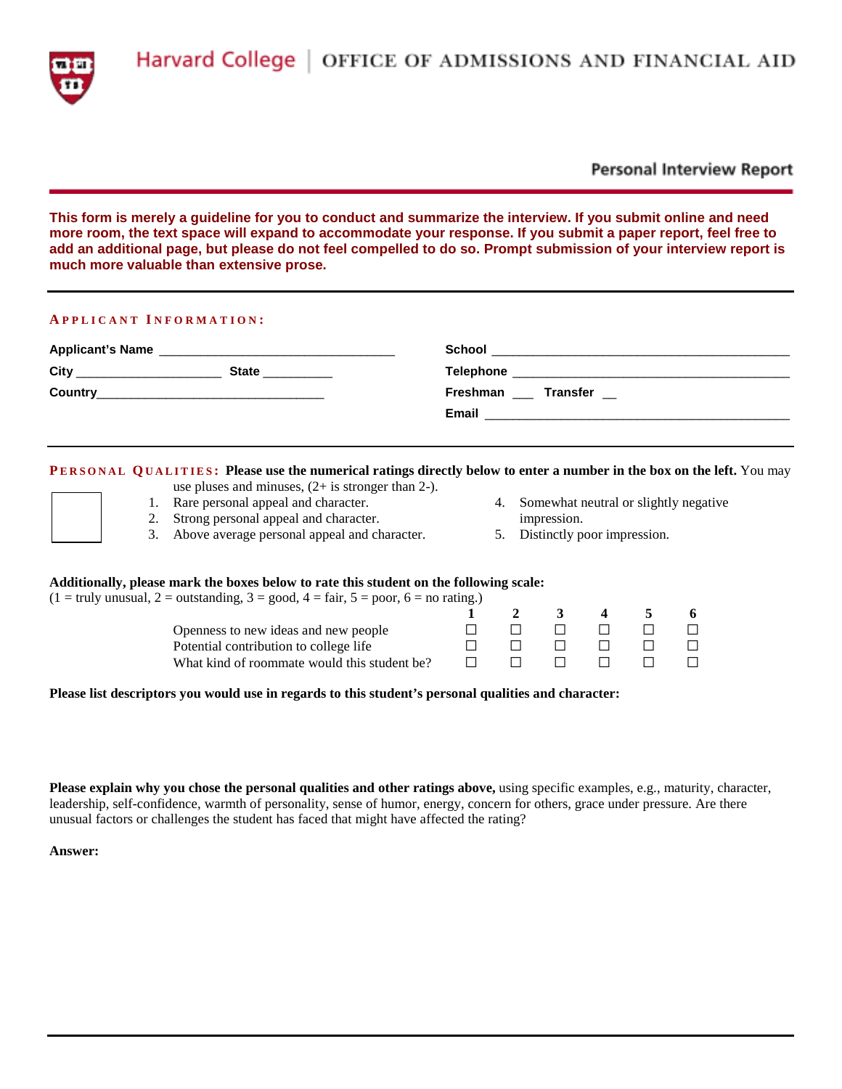

## **Personal Interview Report**

**This form is merely a guideline for you to conduct and summarize the interview. If you submit online and need more room, the text space will expand to accommodate your response. If you submit a paper report, feel free to add an additional page, but please do not feel compelled to do so. Prompt submission of your interview report is much more valuable than extensive prose.**

#### **A PPLICANT I NFORMATION :**

| <b>Applicant's Name</b>                   | <u> 1980 - Jan Stein Stein, fransk politik fotograf (d. 1980)</u> | School                                                                            |
|-------------------------------------------|-------------------------------------------------------------------|-----------------------------------------------------------------------------------|
| City<br>the control of the control of the | State                                                             | <b>Telephone</b><br><u> 1989 - Jan James Sand, Amerikaansk politiker († 1908)</u> |
| <b>Country</b>                            | <u> 1990 - Johann Stoff, amerikansk politiker (d. 1980)</u>       | Freshman ___ Transfer __                                                          |
|                                           |                                                                   | Email                                                                             |

## **PERSONAL QUALITIES:** Please use the numerical ratings directly below to enter a number in the box on the left. You may

- use pluses and minuses, (2+ is stronger than 2-).
- 1. Rare personal appeal and character.
- 2. Strong personal appeal and character.
- 3. Above average personal appeal and character.
- 4. Somewhat neutral or slightly negative impression.
- 5. Distinctly poor impression.

## **Additionally, please mark the boxes below to rate this student on the following scale:**

|  | $(1 = \text{truly unusual}, 2 = \text{outstanding}, 3 = \text{good}, 4 = \text{fair}, 5 = \text{poor}, 6 = \text{no rating.})$ |  |
|--|--------------------------------------------------------------------------------------------------------------------------------|--|

|                                              |  | 2 3 4 5        | - 6     |
|----------------------------------------------|--|----------------|---------|
| Openness to new ideas and new people         |  | $\blacksquare$ | $\perp$ |
| Potential contribution to college life       |  |                | $\Box$  |
| What kind of roommate would this student be? |  |                | $\Box$  |

#### **Please list descriptors you would use in regards to this student's personal qualities and character:**

**Please explain why you chose the personal qualities and other ratings above,** using specific examples, e.g., maturity, character, leadership, self-confidence, warmth of personality, sense of humor, energy, concern for others, grace under pressure. Are there unusual factors or challenges the student has faced that might have affected the rating?

**Answer:**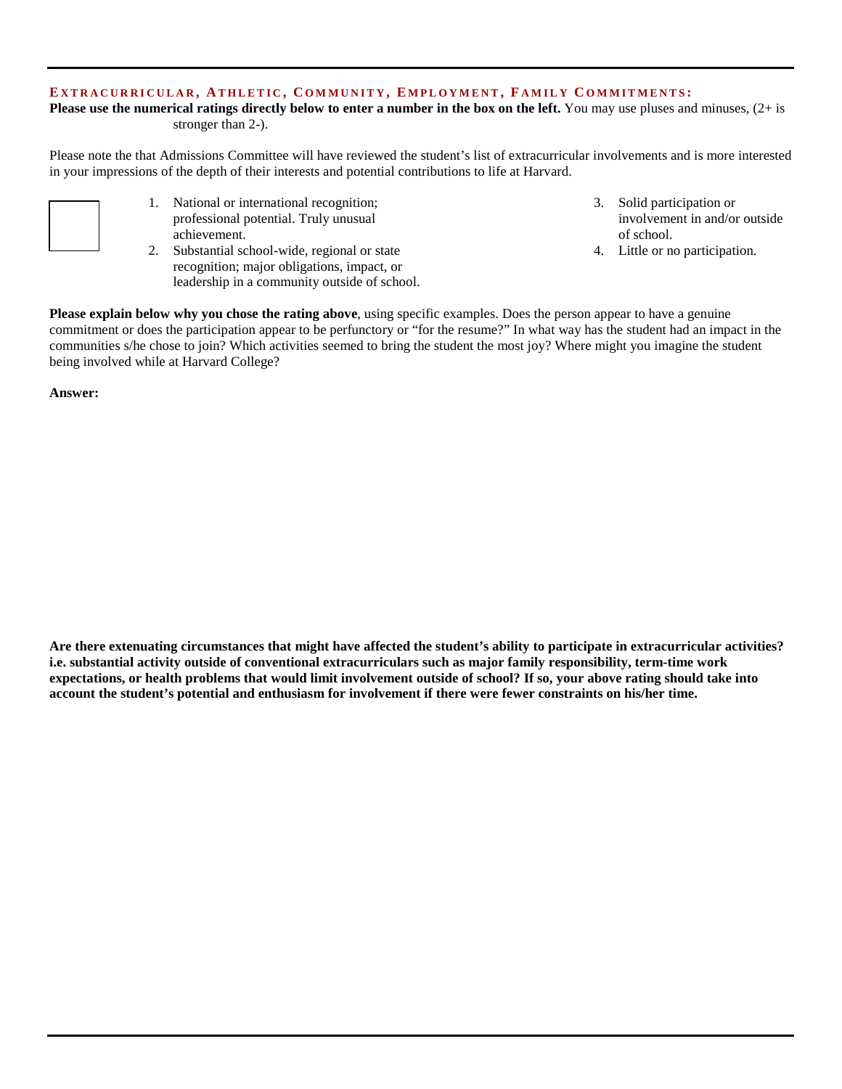## **E XTRACURRICULAR , A THLETIC , C OMMUNITY , E MPLOYMENT , F AMILY C OMMITMENTS :**

**Please use the numerical ratings directly below to enter a number in the box on the left.** You may use pluses and minuses,  $(2+i)$ stronger than 2-).

Please note the that Admissions Committee will have reviewed the student's list of extracurricular involvements and is more interested in your impressions of the depth of their interests and potential contributions to life at Harvard.

- 1. National or international recognition; professional potential. Truly unusual achievement.
- 2. Substantial school-wide, regional or state recognition; major obligations, impact, or leadership in a community outside of school.
- 3. Solid participation or involvement in and/or outside of school.
- 4. Little or no participation.

**Please explain below why you chose the rating above**, using specific examples. Does the person appear to have a genuine commitment or does the participation appear to be perfunctory or "for the resume?" In what way has the student had an impact in the communities s/he chose to join? Which activities seemed to bring the student the most joy? Where might you imagine the student being involved while at Harvard College?

**Answer:**

**Are there extenuating circumstances that might have affected the student's ability to participate in extracurricular activities? i.e. substantial activity outside of conventional extracurriculars such as major family responsibility, term-time work expectations, or health problems that would limit involvement outside of school? If so, your above rating should take into account the student's potential and enthusiasm for involvement if there were fewer constraints on his/her time.**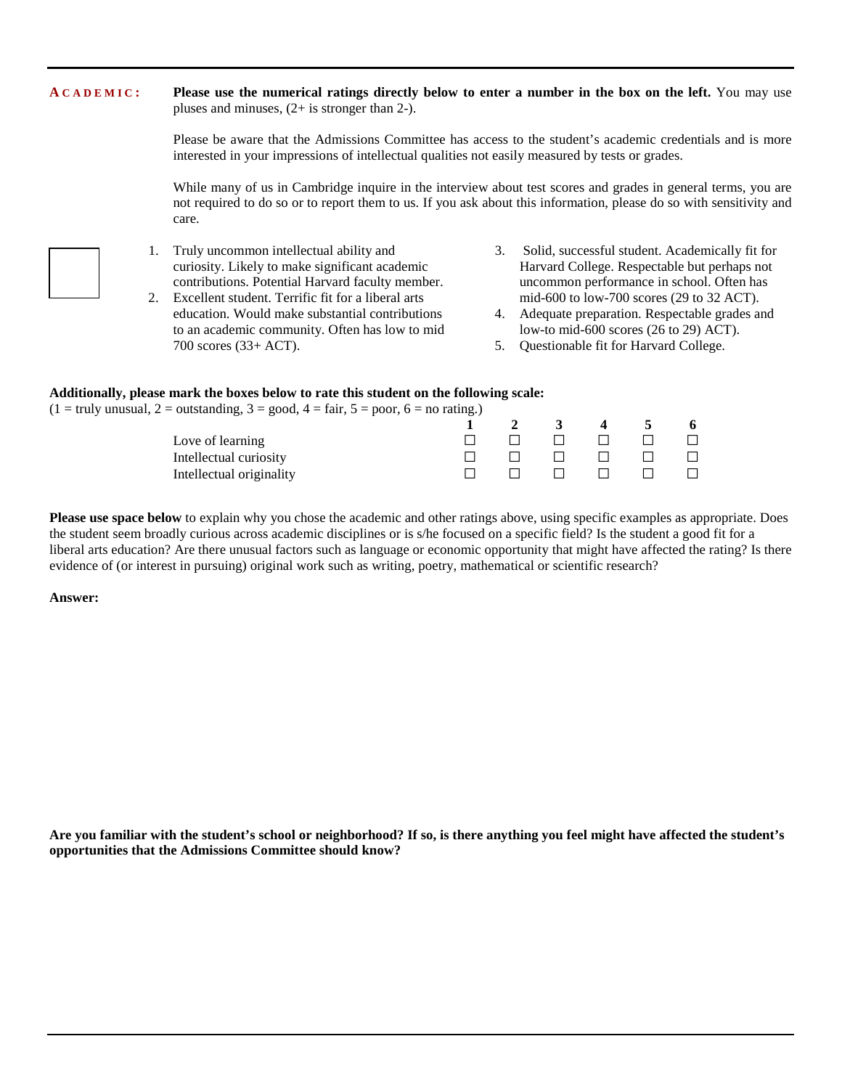# **A CADEMIC : Please use the numerical ratings directly below to enter a number in the box on the left.** You may use pluses and minuses, (2+ is stronger than 2-). Please be aware that the Admissions Committee has access to the student's academic credentials and is more interested in your impressions of intellectual qualities not easily measured by tests or grades. While many of us in Cambridge inquire in the interview about test scores and grades in general terms, you are not required to do so or to report them to us. If you ask about this information, please do so with sensitivity and care.

- 
- 1. Truly uncommon intellectual ability and curiosity. Likely to make significant academic contributions. Potential Harvard faculty member.
- 2. Excellent student. Terrific fit for a liberal arts education. Would make substantial contributions to an academic community. Often has low to mid 700 scores (33+ ACT).
- 3. Solid, successful student. Academically fit for Harvard College. Respectable but perhaps not uncommon performance in school. Often has mid-600 to low-700 scores (29 to 32 ACT).
- 4. Adequate preparation. Respectable grades and low-to mid-600 scores (26 to 29) ACT).
- 5. Questionable fit for Harvard College.

## **Additionally, please mark the boxes below to rate this student on the following scale:**

 $(1 = \text{truly unusual}, 2 = \text{outstanding}, 3 = \text{good}, 4 = \text{fair}, 5 = \text{poor}, 6 = \text{no rating.})$ 

|                          |                         | $\mathbf{3}$ | $\overline{4}$ | - 5 | 6      |
|--------------------------|-------------------------|--------------|----------------|-----|--------|
| Love of learning         | the control of the con- |              |                |     | $\Box$ |
| Intellectual curiosity   |                         |              |                |     | $\Box$ |
| Intellectual originality |                         | en non n     |                |     | $\Box$ |

**Please use space below** to explain why you chose the academic and other ratings above, using specific examples as appropriate. Does the student seem broadly curious across academic disciplines or is s/he focused on a specific field? Is the student a good fit for a liberal arts education? Are there unusual factors such as language or economic opportunity that might have affected the rating? Is there evidence of (or interest in pursuing) original work such as writing, poetry, mathematical or scientific research?

#### **Answer:**

**Are you familiar with the student's school or neighborhood? If so, is there anything you feel might have affected the student's opportunities that the Admissions Committee should know?**